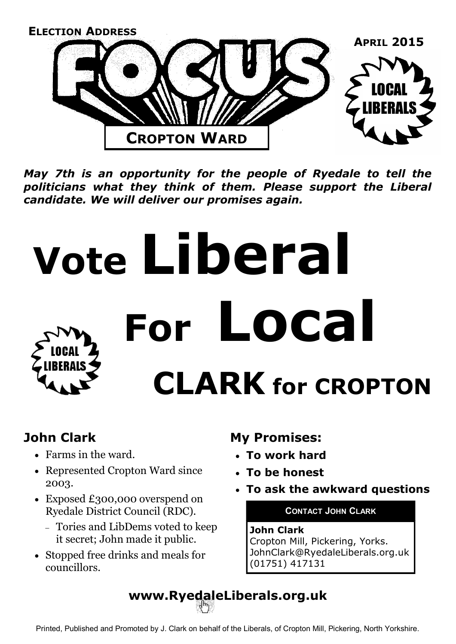

*May 7th is an opportunity for the people of Ryedale to tell the politicians what they think of them. Please support the Liberal candidate. We will deliver our promises again.*

# **Vote Liberal For Local CLARK for CROPTON**

### **John Clark**

- Farms in the ward.
- Represented Cropton Ward since 2003.
- Exposed £300,000 overspend on Ryedale District Council (RDC).
	- Tories and LibDems voted to keep it secret; John made it public.
- Stopped free drinks and meals for councillors.

### **My Promises:**

- **To work hard**
- **To be honest**
- **To ask the awkward questions**

### **CONTACT JOHN CLARK**

### **John Clark**

Cropton Mill, Pickering, Yorks. JohnClark@RyedaleLiberals.org.uk (01751) 417131

**www.RyedaleLiberals.org.uk**